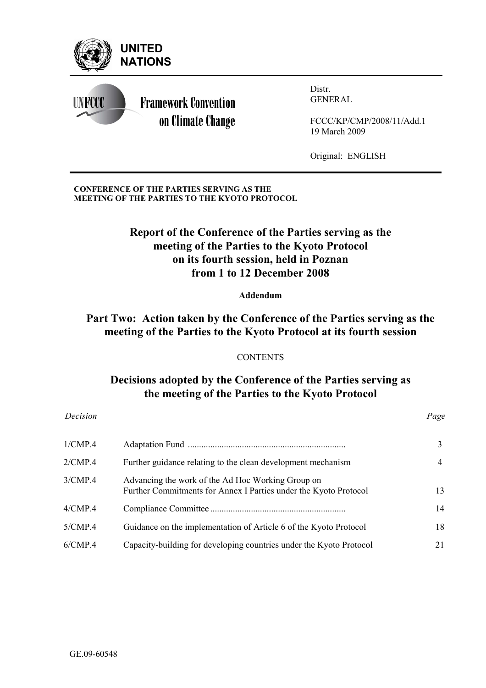

**CONFERENCE OF THE PARTIES SERVING AS THE MEETING OF THE PARTIES TO THE KYOTO PROTOCOL** 

# **Report of the Conference of the Parties serving as the meeting of the Parties to the Kyoto Protocol on its fourth session, held in Poznan from 1 to 12 December 2008**

**Addendum** 

### **Part Two: Action taken by the Conference of the Parties serving as the meeting of the Parties to the Kyoto Protocol at its fourth session**

#### **CONTENTS**

# **Decisions adopted by the Conference of the Parties serving as the meeting of the Parties to the Kyoto Protocol**

*Decision Page*

| 1/CMP.4 |                                                                                                                       | 3  |
|---------|-----------------------------------------------------------------------------------------------------------------------|----|
| 2/CMP.4 | Further guidance relating to the clean development mechanism                                                          | 4  |
| 3/CMP.4 | Advancing the work of the Ad Hoc Working Group on<br>Further Commitments for Annex I Parties under the Kyoto Protocol | 13 |
| 4/CMP.4 |                                                                                                                       | 14 |
| 5/CMP.4 | Guidance on the implementation of Article 6 of the Kyoto Protocol                                                     | 18 |
| 6/CMP.4 | Capacity-building for developing countries under the Kyoto Protocol                                                   | 21 |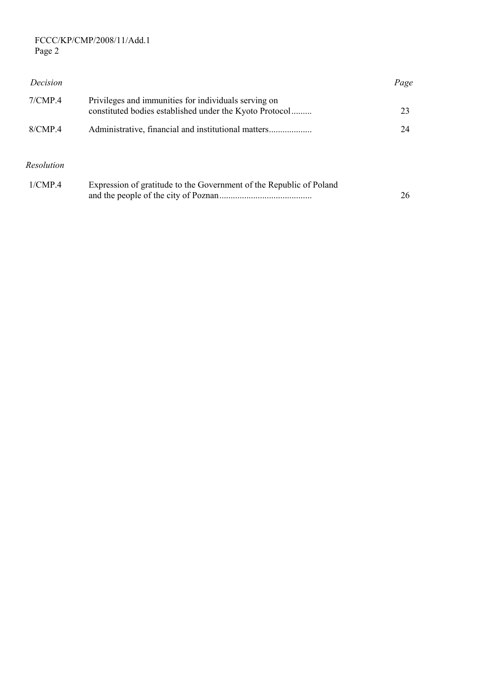#### FCCC/KP/CMP/2008/11/Add.1 Page 2

| Decision          |                                                                                                                 | Page |
|-------------------|-----------------------------------------------------------------------------------------------------------------|------|
| 7/CMP.4           | Privileges and immunities for individuals serving on<br>constituted bodies established under the Kyoto Protocol | 23   |
| 8/CMP.4           |                                                                                                                 | 24   |
| <b>Resolution</b> |                                                                                                                 |      |
| $1/CMP$ 4         | Expression of gratitude to the Government of the Republic of Poland                                             | 26   |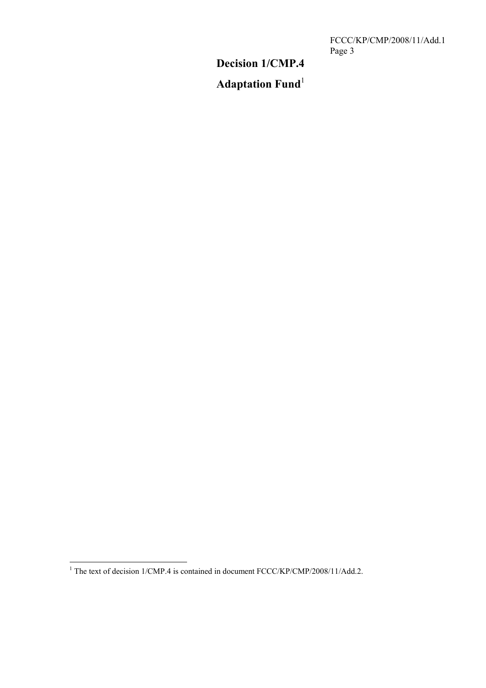FCCC/KP/CMP/2008/11/Add.1 Page 3

# **Decision 1/CMP.4**

# **Adaptation Fund**<sup>1</sup>

<sup>&</sup>lt;sup>1</sup> The text of decision 1/CMP.4 is contained in document FCCC/KP/CMP/2008/11/Add.2.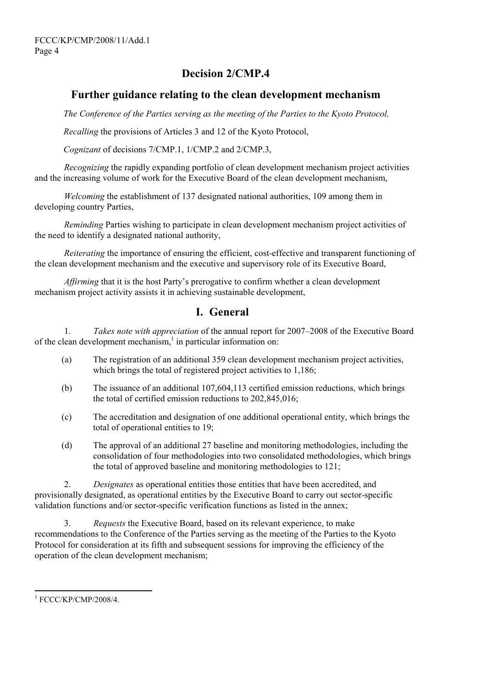# **Decision 2/CMP.4**

#### **Further guidance relating to the clean development mechanism**

*The Conference of the Parties serving as the meeting of the Parties to the Kyoto Protocol,* 

*Recalling* the provisions of Articles 3 and 12 of the Kyoto Protocol,

*Cognizant* of decisions 7/CMP.1, 1/CMP.2 and 2/CMP.3,

*Recognizing* the rapidly expanding portfolio of clean development mechanism project activities and the increasing volume of work for the Executive Board of the clean development mechanism,

*Welcoming* the establishment of 137 designated national authorities, 109 among them in developing country Parties,

 *Reminding* Parties wishing to participate in clean development mechanism project activities of the need to identify a designated national authority,

*Reiterating* the importance of ensuring the efficient, cost-effective and transparent functioning of the clean development mechanism and the executive and supervisory role of its Executive Board,

*Affirming* that it is the host Party's prerogative to confirm whether a clean development mechanism project activity assists it in achieving sustainable development,

### **I. General**

1. *Takes note with appreciation* of the annual report for 2007–2008 of the Executive Board of the clean development mechanism, $\frac{1}{n}$  in particular information on:

- (a) The registration of an additional 359 clean development mechanism project activities, which brings the total of registered project activities to 1,186;
- (b) The issuance of an additional 107,604,113 certified emission reductions, which brings the total of certified emission reductions to 202,845,016;
- (c) The accreditation and designation of one additional operational entity, which brings the total of operational entities to 19;
- (d) The approval of an additional 27 baseline and monitoring methodologies, including the consolidation of four methodologies into two consolidated methodologies, which brings the total of approved baseline and monitoring methodologies to 121;

2. *Designates* as operational entities those entities that have been accredited, and provisionally designated, as operational entities by the Executive Board to carry out sector-specific validation functions and/or sector-specific verification functions as listed in the annex;

3. *Requests* the Executive Board, based on its relevant experience, to make recommendations to the Conference of the Parties serving as the meeting of the Parties to the Kyoto Protocol for consideration at its fifth and subsequent sessions for improving the efficiency of the operation of the clean development mechanism;

l

<sup>1</sup> FCCC/KP/CMP/2008/4.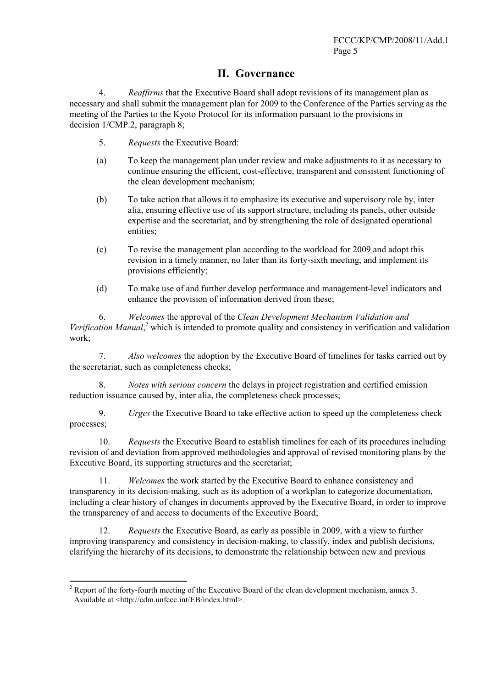#### **II. Governance**

4. *Reaffirms* that the Executive Board shall adopt revisions of its management plan as necessary and shall submit the management plan for 2009 to the Conference of the Parties serving as the meeting of the Parties to the Kyoto Protocol for its information pursuant to the provisions in decision 1/CMP.2, paragraph 8;

- 5. *Requests* the Executive Board:
- (a) To keep the management plan under review and make adjustments to it as necessary to continue ensuring the efficient, cost-effective, transparent and consistent functioning of the clean development mechanism;
- (b) To take action that allows it to emphasize its executive and supervisory role by, inter alia, ensuring effective use of its support structure, including its panels, other outside expertise and the secretariat, and by strengthening the role of designated operational entities;
- (c) To revise the management plan according to the workload for 2009 and adopt this revision in a timely manner, no later than its forty-sixth meeting, and implement its provisions efficiently;
- (d) To make use of and further develop performance and management-level indicators and enhance the provision of information derived from these;

6. *Welcomes* the approval of the *Clean Development Mechanism Validation and*  Verification Manual,<sup>2</sup> which is intended to promote quality and consistency in verification and validation work;

7. *Also welcomes* the adoption by the Executive Board of timelines for tasks carried out by the secretariat, such as completeness checks;

8. *Notes with serious concern* the delays in project registration and certified emission reduction issuance caused by, inter alia, the completeness check processes;

9. *Urges* the Executive Board to take effective action to speed up the completeness check processes;

10. *Requests* the Executive Board to establish timelines for each of its procedures including revision of and deviation from approved methodologies and approval of revised monitoring plans by the Executive Board, its supporting structures and the secretariat;

11. *Welcomes* the work started by the Executive Board to enhance consistency and transparency in its decision-making, such as its adoption of a workplan to categorize documentation, including a clear history of changes in documents approved by the Executive Board, in order to improve the transparency of and access to documents of the Executive Board;

12. *Requests* the Executive Board, as early as possible in 2009, with a view to further improving transparency and consistency in decision-making, to classify, index and publish decisions, clarifying the hierarchy of its decisions, to demonstrate the relationship between new and previous

<sup>&</sup>lt;sup>2</sup> Report of the forty-fourth meeting of the Executive Board of the clean development mechanism, annex 3. Available at <http://cdm.unfccc.int/EB/index.html>.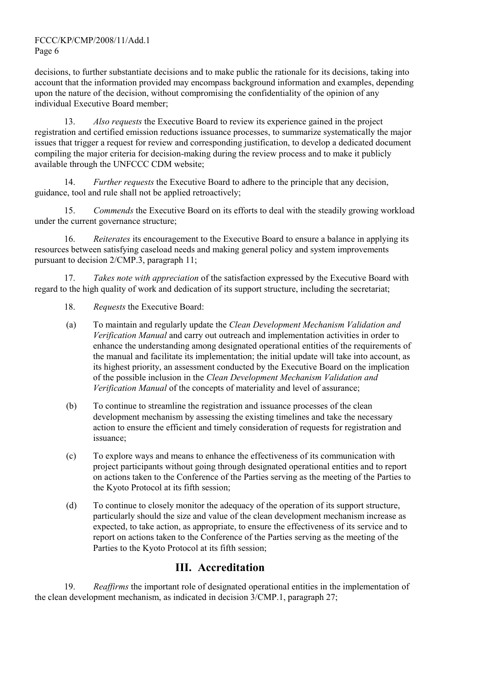FCCC/KP/CMP/2008/11/Add.1 Page 6

decisions, to further substantiate decisions and to make public the rationale for its decisions, taking into account that the information provided may encompass background information and examples, depending upon the nature of the decision, without compromising the confidentiality of the opinion of any individual Executive Board member;

13. *Also requests* the Executive Board to review its experience gained in the project registration and certified emission reductions issuance processes, to summarize systematically the major issues that trigger a request for review and corresponding justification, to develop a dedicated document compiling the major criteria for decision-making during the review process and to make it publicly available through the UNFCCC CDM website;

14. *Further requests* the Executive Board to adhere to the principle that any decision, guidance, tool and rule shall not be applied retroactively;

15. *Commends* the Executive Board on its efforts to deal with the steadily growing workload under the current governance structure;

16. *Reiterates* its encouragement to the Executive Board to ensure a balance in applying its resources between satisfying caseload needs and making general policy and system improvements pursuant to decision 2/CMP.3, paragraph 11;

17. *Takes note with appreciation* of the satisfaction expressed by the Executive Board with regard to the high quality of work and dedication of its support structure, including the secretariat;

- 18. *Requests* the Executive Board:
- (a) To maintain and regularly update the *Clean Development Mechanism Validation and Verification Manual* and carry out outreach and implementation activities in order to enhance the understanding among designated operational entities of the requirements of the manual and facilitate its implementation; the initial update will take into account, as its highest priority, an assessment conducted by the Executive Board on the implication of the possible inclusion in the *Clean Development Mechanism Validation and Verification Manual* of the concepts of materiality and level of assurance;
- (b) To continue to streamline the registration and issuance processes of the clean development mechanism by assessing the existing timelines and take the necessary action to ensure the efficient and timely consideration of requests for registration and issuance;
- (c) To explore ways and means to enhance the effectiveness of its communication with project participants without going through designated operational entities and to report on actions taken to the Conference of the Parties serving as the meeting of the Parties to the Kyoto Protocol at its fifth session;
- (d) To continue to closely monitor the adequacy of the operation of its support structure, particularly should the size and value of the clean development mechanism increase as expected, to take action, as appropriate, to ensure the effectiveness of its service and to report on actions taken to the Conference of the Parties serving as the meeting of the Parties to the Kyoto Protocol at its fifth session;

### **III. Accreditation**

19. *Reaffirms* the important role of designated operational entities in the implementation of the clean development mechanism, as indicated in decision 3/CMP.1, paragraph 27;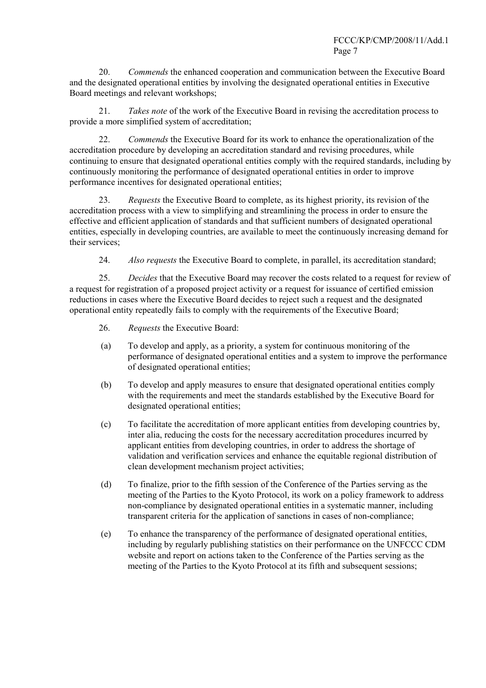20. *Commends* the enhanced cooperation and communication between the Executive Board and the designated operational entities by involving the designated operational entities in Executive Board meetings and relevant workshops;

21. *Takes note* of the work of the Executive Board in revising the accreditation process to provide a more simplified system of accreditation;

22. *Commends* the Executive Board for its work to enhance the operationalization of the accreditation procedure by developing an accreditation standard and revising procedures, while continuing to ensure that designated operational entities comply with the required standards, including by continuously monitoring the performance of designated operational entities in order to improve performance incentives for designated operational entities;

23. *Requests* the Executive Board to complete, as its highest priority, its revision of the accreditation process with a view to simplifying and streamlining the process in order to ensure the effective and efficient application of standards and that sufficient numbers of designated operational entities, especially in developing countries, are available to meet the continuously increasing demand for their services;

24. *Also requests* the Executive Board to complete, in parallel, its accreditation standard;

25. *Decides* that the Executive Board may recover the costs related to a request for review of a request for registration of a proposed project activity or a request for issuance of certified emission reductions in cases where the Executive Board decides to reject such a request and the designated operational entity repeatedly fails to comply with the requirements of the Executive Board;

- 26. *Requests* the Executive Board:
- (a) To develop and apply, as a priority, a system for continuous monitoring of the performance of designated operational entities and a system to improve the performance of designated operational entities;
- (b) To develop and apply measures to ensure that designated operational entities comply with the requirements and meet the standards established by the Executive Board for designated operational entities;
- (c) To facilitate the accreditation of more applicant entities from developing countries by, inter alia, reducing the costs for the necessary accreditation procedures incurred by applicant entities from developing countries, in order to address the shortage of validation and verification services and enhance the equitable regional distribution of clean development mechanism project activities;
- (d) To finalize, prior to the fifth session of the Conference of the Parties serving as the meeting of the Parties to the Kyoto Protocol, its work on a policy framework to address non-compliance by designated operational entities in a systematic manner, including transparent criteria for the application of sanctions in cases of non-compliance;
- (e) To enhance the transparency of the performance of designated operational entities, including by regularly publishing statistics on their performance on the UNFCCC CDM website and report on actions taken to the Conference of the Parties serving as the meeting of the Parties to the Kyoto Protocol at its fifth and subsequent sessions;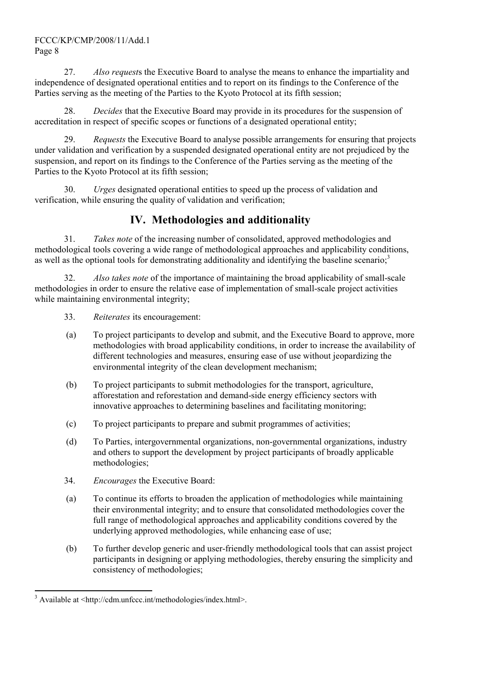#### FCCC/KP/CMP/2008/11/Add.1 Page 8

27. *Also request*s the Executive Board to analyse the means to enhance the impartiality and independence of designated operational entities and to report on its findings to the Conference of the Parties serving as the meeting of the Parties to the Kyoto Protocol at its fifth session;

28. *Decides* that the Executive Board may provide in its procedures for the suspension of accreditation in respect of specific scopes or functions of a designated operational entity;

29. *Requests* the Executive Board to analyse possible arrangements for ensuring that projects under validation and verification by a suspended designated operational entity are not prejudiced by the suspension, and report on its findings to the Conference of the Parties serving as the meeting of the Parties to the Kyoto Protocol at its fifth session;

30. *Urges* designated operational entities to speed up the process of validation and verification, while ensuring the quality of validation and verification;

## **IV. Methodologies and additionality**

31. *Takes note* of the increasing number of consolidated, approved methodologies and methodological tools covering a wide range of methodological approaches and applicability conditions, as well as the optional tools for demonstrating additionality and identifying the baseline scenario;<sup>3</sup>

32. *Also takes note* of the importance of maintaining the broad applicability of small-scale methodologies in order to ensure the relative ease of implementation of small-scale project activities while maintaining environmental integrity;

- 33. *Reiterates* its encouragement:
- (a) To project participants to develop and submit, and the Executive Board to approve, more methodologies with broad applicability conditions, in order to increase the availability of different technologies and measures, ensuring ease of use without jeopardizing the environmental integrity of the clean development mechanism;
- (b) To project participants to submit methodologies for the transport, agriculture, afforestation and reforestation and demand-side energy efficiency sectors with innovative approaches to determining baselines and facilitating monitoring;
- (c) To project participants to prepare and submit programmes of activities;
- (d) To Parties, intergovernmental organizations, non-governmental organizations, industry and others to support the development by project participants of broadly applicable methodologies;
- 34. *Encourages* the Executive Board:
- (a) To continue its efforts to broaden the application of methodologies while maintaining their environmental integrity; and to ensure that consolidated methodologies cover the full range of methodological approaches and applicability conditions covered by the underlying approved methodologies, while enhancing ease of use;
- (b) To further develop generic and user-friendly methodological tools that can assist project participants in designing or applying methodologies, thereby ensuring the simplicity and consistency of methodologies;

l <sup>3</sup> Available at <http://cdm.unfccc.int/methodologies/index.html>.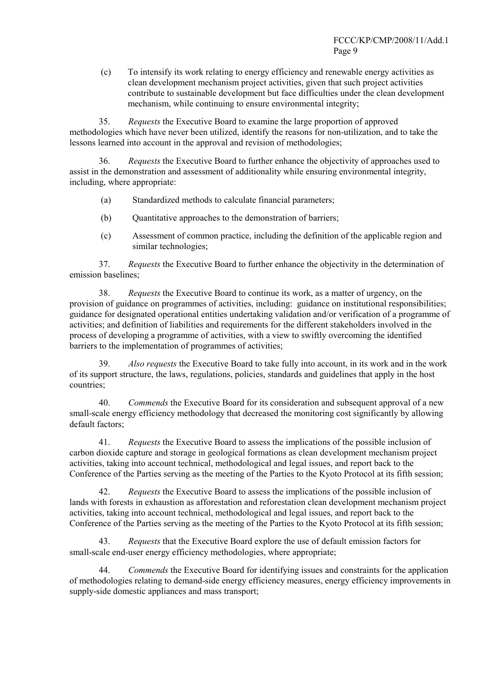(c) To intensify its work relating to energy efficiency and renewable energy activities as clean development mechanism project activities, given that such project activities contribute to sustainable development but face difficulties under the clean development mechanism, while continuing to ensure environmental integrity;

35. *Requests* the Executive Board to examine the large proportion of approved methodologies which have never been utilized, identify the reasons for non-utilization, and to take the lessons learned into account in the approval and revision of methodologies;

36. *Requests* the Executive Board to further enhance the objectivity of approaches used to assist in the demonstration and assessment of additionality while ensuring environmental integrity, including, where appropriate:

- (a) Standardized methods to calculate financial parameters;
- (b) Ouantitative approaches to the demonstration of barriers;
- (c) Assessment of common practice, including the definition of the applicable region and similar technologies;

37. *Requests* the Executive Board to further enhance the objectivity in the determination of emission baselines;

38. *Requests* the Executive Board to continue its work, as a matter of urgency, on the provision of guidance on programmes of activities, including: guidance on institutional responsibilities; guidance for designated operational entities undertaking validation and/or verification of a programme of activities; and definition of liabilities and requirements for the different stakeholders involved in the process of developing a programme of activities, with a view to swiftly overcoming the identified barriers to the implementation of programmes of activities;

39. *Also requests* the Executive Board to take fully into account, in its work and in the work of its support structure, the laws, regulations, policies, standards and guidelines that apply in the host countries;

40. *Commends* the Executive Board for its consideration and subsequent approval of a new small-scale energy efficiency methodology that decreased the monitoring cost significantly by allowing default factors;

41. *Requests* the Executive Board to assess the implications of the possible inclusion of carbon dioxide capture and storage in geological formations as clean development mechanism project activities, taking into account technical, methodological and legal issues, and report back to the Conference of the Parties serving as the meeting of the Parties to the Kyoto Protocol at its fifth session;

42. *Requests* the Executive Board to assess the implications of the possible inclusion of lands with forests in exhaustion as afforestation and reforestation clean development mechanism project activities, taking into account technical, methodological and legal issues, and report back to the Conference of the Parties serving as the meeting of the Parties to the Kyoto Protocol at its fifth session;

43. *Requests* that the Executive Board explore the use of default emission factors for small-scale end-user energy efficiency methodologies, where appropriate;

44. *Commends* the Executive Board for identifying issues and constraints for the application of methodologies relating to demand-side energy efficiency measures, energy efficiency improvements in supply-side domestic appliances and mass transport;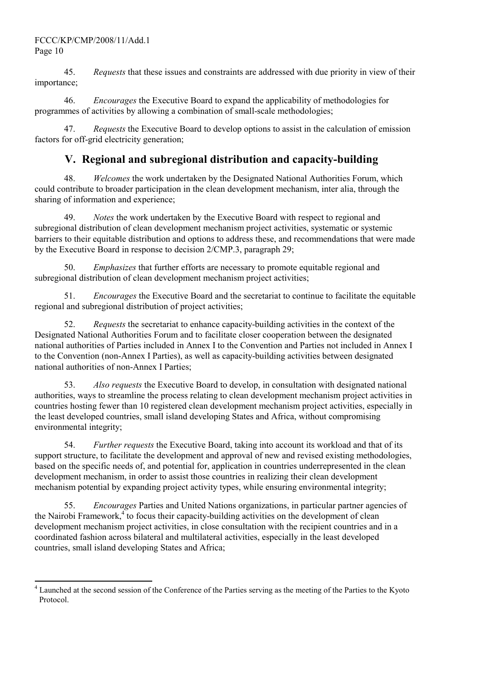45. *Requests* that these issues and constraints are addressed with due priority in view of their importance;

46. *Encourages* the Executive Board to expand the applicability of methodologies for programmes of activities by allowing a combination of small-scale methodologies;

47. *Requests* the Executive Board to develop options to assist in the calculation of emission factors for off-grid electricity generation;

# **V. Regional and subregional distribution and capacity-building**

48. *Welcomes* the work undertaken by the Designated National Authorities Forum, which could contribute to broader participation in the clean development mechanism, inter alia, through the sharing of information and experience;

49. *Notes* the work undertaken by the Executive Board with respect to regional and subregional distribution of clean development mechanism project activities, systematic or systemic barriers to their equitable distribution and options to address these, and recommendations that were made by the Executive Board in response to decision 2/CMP.3, paragraph 29;

50. *Emphasizes* that further efforts are necessary to promote equitable regional and subregional distribution of clean development mechanism project activities;

51. *Encourages* the Executive Board and the secretariat to continue to facilitate the equitable regional and subregional distribution of project activities;

52. *Requests* the secretariat to enhance capacity-building activities in the context of the Designated National Authorities Forum and to facilitate closer cooperation between the designated national authorities of Parties included in Annex I to the Convention and Parties not included in Annex I to the Convention (non-Annex I Parties), as well as capacity-building activities between designated national authorities of non-Annex I Parties;

53. *Also requests* the Executive Board to develop, in consultation with designated national authorities, ways to streamline the process relating to clean development mechanism project activities in countries hosting fewer than 10 registered clean development mechanism project activities, especially in the least developed countries, small island developing States and Africa, without compromising environmental integrity;

54. *Further requests* the Executive Board, taking into account its workload and that of its support structure, to facilitate the development and approval of new and revised existing methodologies, based on the specific needs of, and potential for, application in countries underrepresented in the clean development mechanism, in order to assist those countries in realizing their clean development mechanism potential by expanding project activity types, while ensuring environmental integrity;

55. *Encourages* Parties and United Nations organizations, in particular partner agencies of the Nairobi Framework,<sup>4</sup> to focus their capacity-building activities on the development of clean development mechanism project activities, in close consultation with the recipient countries and in a coordinated fashion across bilateral and multilateral activities, especially in the least developed countries, small island developing States and Africa;

<sup>&</sup>lt;sup>4</sup> Launched at the second session of the Conference of the Parties serving as the meeting of the Parties to the Kyoto Protocol.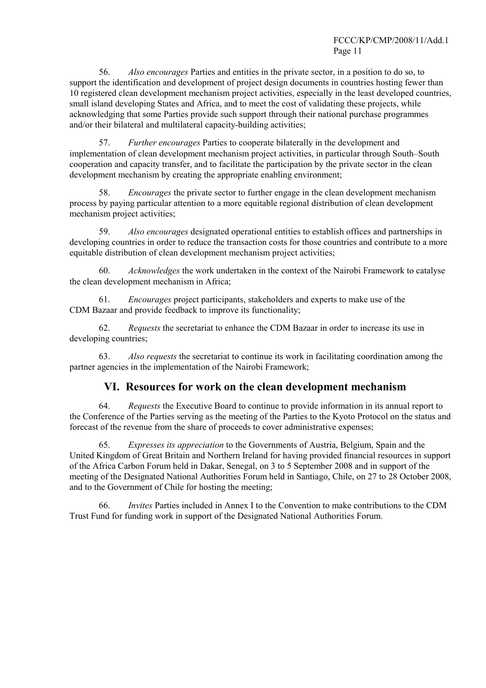56. *Also encourages* Parties and entities in the private sector, in a position to do so, to support the identification and development of project design documents in countries hosting fewer than 10 registered clean development mechanism project activities, especially in the least developed countries, small island developing States and Africa, and to meet the cost of validating these projects, while acknowledging that some Parties provide such support through their national purchase programmes and/or their bilateral and multilateral capacity-building activities;

57. *Further encourages* Parties to cooperate bilaterally in the development and implementation of clean development mechanism project activities, in particular through South–South cooperation and capacity transfer, and to facilitate the participation by the private sector in the clean development mechanism by creating the appropriate enabling environment;

58. *Encourages* the private sector to further engage in the clean development mechanism process by paying particular attention to a more equitable regional distribution of clean development mechanism project activities;

59. *Also encourages* designated operational entities to establish offices and partnerships in developing countries in order to reduce the transaction costs for those countries and contribute to a more equitable distribution of clean development mechanism project activities;

60. *Acknowledges* the work undertaken in the context of the Nairobi Framework to catalyse the clean development mechanism in Africa;

61. *Encourages* project participants, stakeholders and experts to make use of the CDM Bazaar and provide feedback to improve its functionality;

62. *Requests* the secretariat to enhance the CDM Bazaar in order to increase its use in developing countries;

63. *Also requests* the secretariat to continue its work in facilitating coordination among the partner agencies in the implementation of the Nairobi Framework;

#### **VI. Resources for work on the clean development mechanism**

64. *Requests* the Executive Board to continue to provide information in its annual report to the Conference of the Parties serving as the meeting of the Parties to the Kyoto Protocol on the status and forecast of the revenue from the share of proceeds to cover administrative expenses;

65. *Expresses its appreciation* to the Governments of Austria, Belgium, Spain and the United Kingdom of Great Britain and Northern Ireland for having provided financial resources in support of the Africa Carbon Forum held in Dakar, Senegal, on 3 to 5 September 2008 and in support of the meeting of the Designated National Authorities Forum held in Santiago, Chile, on 27 to 28 October 2008, and to the Government of Chile for hosting the meeting;

66. *Invites* Parties included in Annex I to the Convention to make contributions to the CDM Trust Fund for funding work in support of the Designated National Authorities Forum.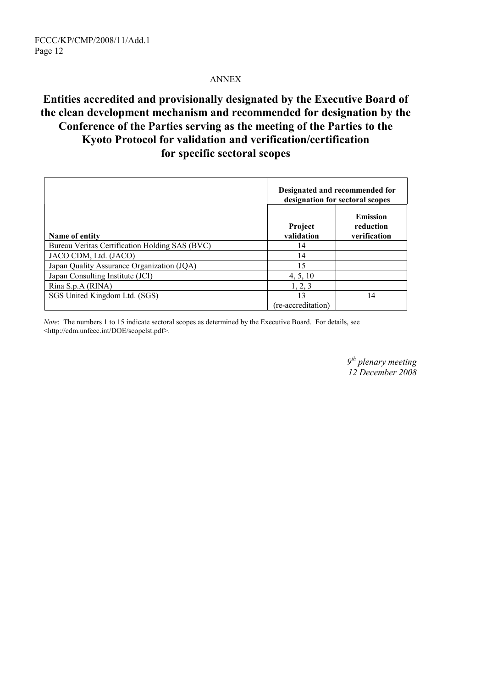#### ANNEX

# **Entities accredited and provisionally designated by the Executive Board of the clean development mechanism and recommended for designation by the Conference of the Parties serving as the meeting of the Parties to the Kyoto Protocol for validation and verification/certification for specific sectoral scopes**

|                                                | Designated and recommended for<br>designation for sectoral scopes |                                              |
|------------------------------------------------|-------------------------------------------------------------------|----------------------------------------------|
| Name of entity                                 | Project<br>validation                                             | <b>Emission</b><br>reduction<br>verification |
| Bureau Veritas Certification Holding SAS (BVC) | 14                                                                |                                              |
| JACO CDM, Ltd. (JACO)                          | 14                                                                |                                              |
| Japan Quality Assurance Organization (JQA)     | 15                                                                |                                              |
| Japan Consulting Institute (JCI)               | 4, 5, 10                                                          |                                              |
| Rina S.p.A (RINA)                              | 1, 2, 3                                                           |                                              |
| SGS United Kingdom Ltd. (SGS)                  | 13<br>(re-accreditation)                                          | 14                                           |

*Note*: The numbers 1 to 15 indicate sectoral scopes as determined by the Executive Board. For details, see <http://cdm.unfccc.int/DOE/scopelst.pdf>.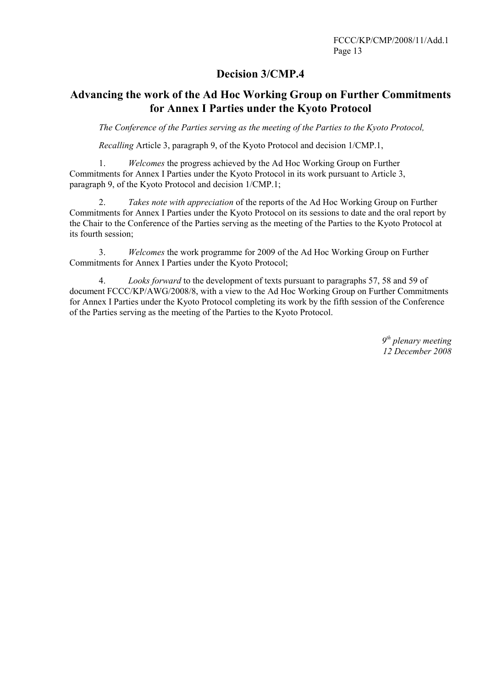#### **Decision 3/CMP.4**

#### **Advancing the work of the Ad Hoc Working Group on Further Commitments for Annex I Parties under the Kyoto Protocol**

*The Conference of the Parties serving as the meeting of the Parties to the Kyoto Protocol,* 

*Recalling* Article 3, paragraph 9, of the Kyoto Protocol and decision 1/CMP.1,

1. *Welcomes* the progress achieved by the Ad Hoc Working Group on Further Commitments for Annex I Parties under the Kyoto Protocol in its work pursuant to Article 3, paragraph 9, of the Kyoto Protocol and decision 1/CMP.1;

2. *Takes note with appreciation* of the reports of the Ad Hoc Working Group on Further Commitments for Annex I Parties under the Kyoto Protocol on its sessions to date and the oral report by the Chair to the Conference of the Parties serving as the meeting of the Parties to the Kyoto Protocol at its fourth session;

3. *Welcomes* the work programme for 2009 of the Ad Hoc Working Group on Further Commitments for Annex I Parties under the Kyoto Protocol;

4. *Looks forward* to the development of texts pursuant to paragraphs 57, 58 and 59 of document FCCC/KP/AWG/2008/8, with a view to the Ad Hoc Working Group on Further Commitments for Annex I Parties under the Kyoto Protocol completing its work by the fifth session of the Conference of the Parties serving as the meeting of the Parties to the Kyoto Protocol.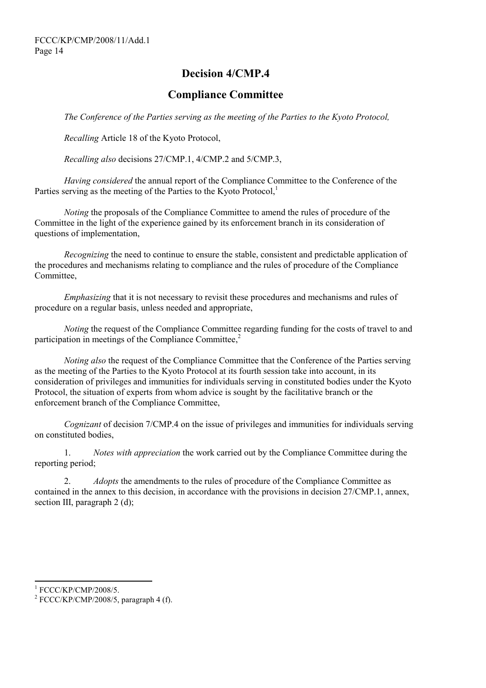# **Decision 4/CMP.4**

#### **Compliance Committee**

*The Conference of the Parties serving as the meeting of the Parties to the Kyoto Protocol,* 

*Recalling* Article 18 of the Kyoto Protocol,

*Recalling also* decisions 27/CMP.1, 4/CMP.2 and 5/CMP.3,

*Having considered* the annual report of the Compliance Committee to the Conference of the Parties serving as the meeting of the Parties to the Kyoto Protocol,<sup>1</sup>

*Noting* the proposals of the Compliance Committee to amend the rules of procedure of the Committee in the light of the experience gained by its enforcement branch in its consideration of questions of implementation,

*Recognizing* the need to continue to ensure the stable, consistent and predictable application of the procedures and mechanisms relating to compliance and the rules of procedure of the Compliance Committee,

*Emphasizing* that it is not necessary to revisit these procedures and mechanisms and rules of procedure on a regular basis, unless needed and appropriate,

*Noting* the request of the Compliance Committee regarding funding for the costs of travel to and participation in meetings of the Compliance Committee.<sup>2</sup>

*Noting also* the request of the Compliance Committee that the Conference of the Parties serving as the meeting of the Parties to the Kyoto Protocol at its fourth session take into account, in its consideration of privileges and immunities for individuals serving in constituted bodies under the Kyoto Protocol, the situation of experts from whom advice is sought by the facilitative branch or the enforcement branch of the Compliance Committee,

*Cognizant* of decision 7/CMP.4 on the issue of privileges and immunities for individuals serving on constituted bodies,

1. *Notes with appreciation* the work carried out by the Compliance Committee during the reporting period;

2. *Adopts* the amendments to the rules of procedure of the Compliance Committee as contained in the annex to this decision, in accordance with the provisions in decision 27/CMP.1, annex, section III, paragraph 2 (d);

l

 $\frac{1}{2}$  FCCC/KP/CMP/2008/5.

 $2$  FCCC/KP/CMP/2008/5, paragraph 4 (f).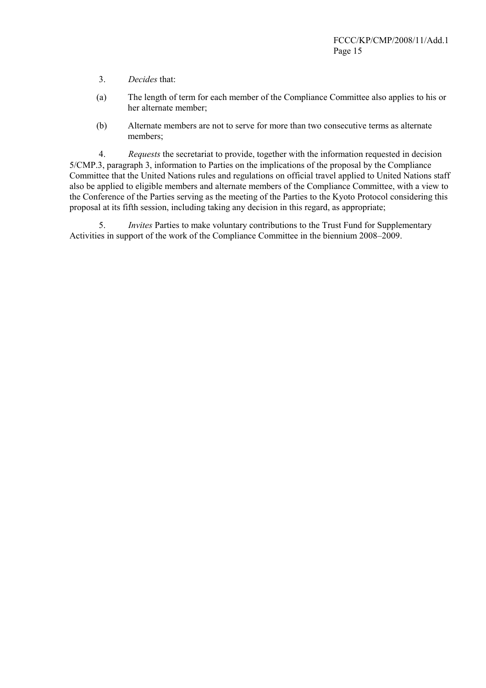- 3. *Decides* that:
- (a) The length of term for each member of the Compliance Committee also applies to his or her alternate member;
- (b) Alternate members are not to serve for more than two consecutive terms as alternate members;

4. *Requests* the secretariat to provide, together with the information requested in decision 5/CMP.3, paragraph 3, information to Parties on the implications of the proposal by the Compliance Committee that the United Nations rules and regulations on official travel applied to United Nations staff also be applied to eligible members and alternate members of the Compliance Committee, with a view to the Conference of the Parties serving as the meeting of the Parties to the Kyoto Protocol considering this proposal at its fifth session, including taking any decision in this regard, as appropriate;

5. *Invites* Parties to make voluntary contributions to the Trust Fund for Supplementary Activities in support of the work of the Compliance Committee in the biennium 2008–2009.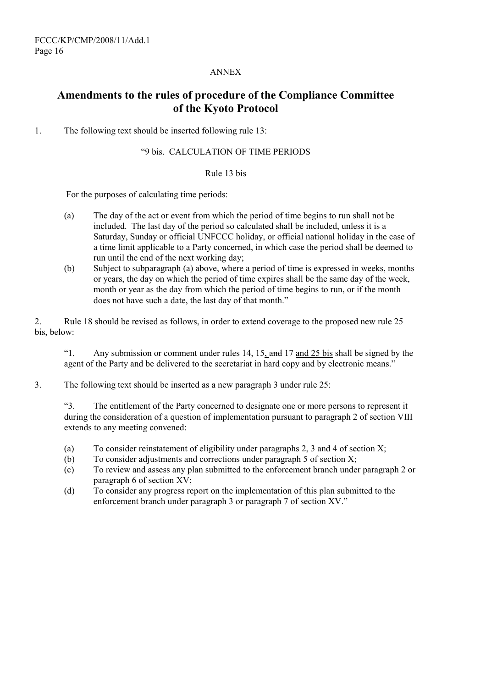#### ANNEX

### **Amendments to the rules of procedure of the Compliance Committee of the Kyoto Protocol**

1. The following text should be inserted following rule 13:

#### ì9 bis. CALCULATION OF TIME PERIODS

#### Rule 13 bis

For the purposes of calculating time periods:

- (a) The day of the act or event from which the period of time begins to run shall not be included. The last day of the period so calculated shall be included, unless it is a Saturday, Sunday or official UNFCCC holiday, or official national holiday in the case of a time limit applicable to a Party concerned, in which case the period shall be deemed to run until the end of the next working day;
- (b) Subject to subparagraph (a) above, where a period of time is expressed in weeks, months or years, the day on which the period of time expires shall be the same day of the week, month or year as the day from which the period of time begins to run, or if the month does not have such a date, the last day of that month.<sup>"</sup>

2. Rule 18 should be revised as follows, in order to extend coverage to the proposed new rule 25 bis, below:

 $i$ <sup>1</sup>. Any submission or comment under rules 14, 15, and 17 and 25 bis shall be signed by the agent of the Party and be delivered to the secretariat in hard copy and by electronic means.<sup>"</sup>

3. The following text should be inserted as a new paragraph 3 under rule 25:

ì3. The entitlement of the Party concerned to designate one or more persons to represent it during the consideration of a question of implementation pursuant to paragraph 2 of section VIII extends to any meeting convened:

- (a) To consider reinstatement of eligibility under paragraphs 2, 3 and 4 of section X;
- (b) To consider adjustments and corrections under paragraph 5 of section X;
- (c) To review and assess any plan submitted to the enforcement branch under paragraph 2 or paragraph 6 of section XV;
- (d) To consider any progress report on the implementation of this plan submitted to the enforcement branch under paragraph  $3$  or paragraph  $7$  of section XV.<sup>?</sup>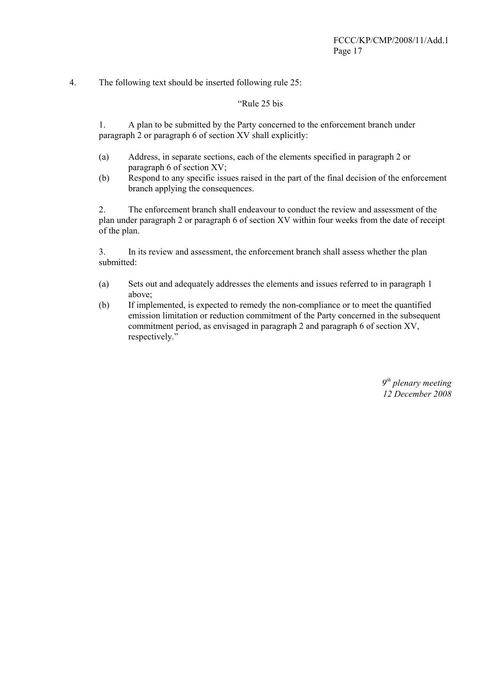4. The following text should be inserted following rule 25:

#### "Rule 25 bis

1. A plan to be submitted by the Party concerned to the enforcement branch under paragraph 2 or paragraph 6 of section XV shall explicitly:

- (a) Address, in separate sections, each of the elements specified in paragraph 2 or paragraph 6 of section XV;
- (b) Respond to any specific issues raised in the part of the final decision of the enforcement branch applying the consequences.

2. The enforcement branch shall endeavour to conduct the review and assessment of the plan under paragraph 2 or paragraph 6 of section XV within four weeks from the date of receipt of the plan.

3. In its review and assessment, the enforcement branch shall assess whether the plan submitted:

- (a) Sets out and adequately addresses the elements and issues referred to in paragraph 1 above;
- (b) If implemented, is expected to remedy the non-compliance or to meet the quantified emission limitation or reduction commitment of the Party concerned in the subsequent commitment period, as envisaged in paragraph 2 and paragraph 6 of section XV, respectively."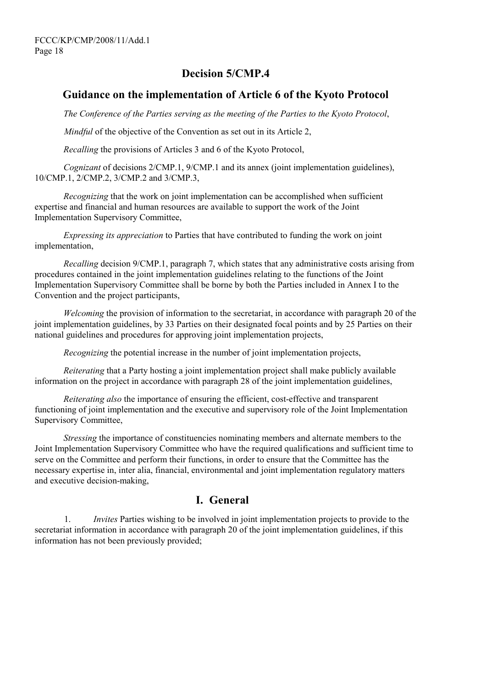### **Decision 5/CMP.4**

#### **Guidance on the implementation of Article 6 of the Kyoto Protocol**

*The Conference of the Parties serving as the meeting of the Parties to the Kyoto Protocol*,

*Mindful* of the objective of the Convention as set out in its Article 2,

*Recalling* the provisions of Articles 3 and 6 of the Kyoto Protocol,

*Cognizant* of decisions 2/CMP.1, 9/CMP.1 and its annex (joint implementation guidelines), 10/CMP.1, 2/CMP.2, 3/CMP.2 and 3/CMP.3,

*Recognizing* that the work on joint implementation can be accomplished when sufficient expertise and financial and human resources are available to support the work of the Joint Implementation Supervisory Committee,

*Expressing its appreciation* to Parties that have contributed to funding the work on joint implementation,

*Recalling* decision 9/CMP.1, paragraph 7, which states that any administrative costs arising from procedures contained in the joint implementation guidelines relating to the functions of the Joint Implementation Supervisory Committee shall be borne by both the Parties included in Annex I to the Convention and the project participants,

*Welcoming* the provision of information to the secretariat, in accordance with paragraph 20 of the joint implementation guidelines, by 33 Parties on their designated focal points and by 25 Parties on their national guidelines and procedures for approving joint implementation projects,

*Recognizing* the potential increase in the number of joint implementation projects,

*Reiterating* that a Party hosting a joint implementation project shall make publicly available information on the project in accordance with paragraph 28 of the joint implementation guidelines,

*Reiterating also* the importance of ensuring the efficient, cost-effective and transparent functioning of joint implementation and the executive and supervisory role of the Joint Implementation Supervisory Committee,

*Stressing* the importance of constituencies nominating members and alternate members to the Joint Implementation Supervisory Committee who have the required qualifications and sufficient time to serve on the Committee and perform their functions, in order to ensure that the Committee has the necessary expertise in, inter alia, financial, environmental and joint implementation regulatory matters and executive decision-making,

### **I. General**

1. *Invites* Parties wishing to be involved in joint implementation projects to provide to the secretariat information in accordance with paragraph 20 of the joint implementation guidelines, if this information has not been previously provided;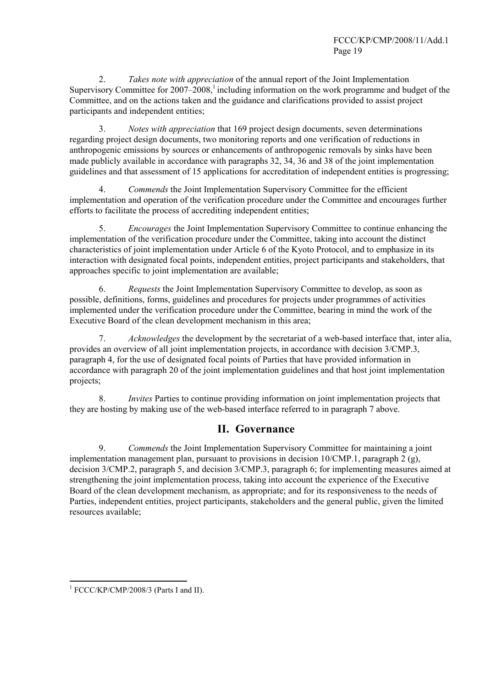2. *Takes note with appreciation* of the annual report of the Joint Implementation Supervisory Committee for  $2007-2008$ ,<sup>1</sup> including information on the work programme and budget of the Committee, and on the actions taken and the guidance and clarifications provided to assist project participants and independent entities;

3. *Notes with appreciation* that 169 project design documents, seven determinations regarding project design documents, two monitoring reports and one verification of reductions in anthropogenic emissions by sources or enhancements of anthropogenic removals by sinks have been made publicly available in accordance with paragraphs 32, 34, 36 and 38 of the joint implementation guidelines and that assessment of 15 applications for accreditation of independent entities is progressing;

4. *Commends* the Joint Implementation Supervisory Committee for the efficient implementation and operation of the verification procedure under the Committee and encourages further efforts to facilitate the process of accrediting independent entities;

5. *Encourages* the Joint Implementation Supervisory Committee to continue enhancing the implementation of the verification procedure under the Committee, taking into account the distinct characteristics of joint implementation under Article 6 of the Kyoto Protocol, and to emphasize in its interaction with designated focal points, independent entities, project participants and stakeholders, that approaches specific to joint implementation are available;

6. *Requests* the Joint Implementation Supervisory Committee to develop, as soon as possible, definitions, forms, guidelines and procedures for projects under programmes of activities implemented under the verification procedure under the Committee, bearing in mind the work of the Executive Board of the clean development mechanism in this area;

7. *Acknowledges* the development by the secretariat of a web-based interface that, inter alia, provides an overview of all joint implementation projects, in accordance with decision 3/CMP.3, paragraph 4, for the use of designated focal points of Parties that have provided information in accordance with paragraph 20 of the joint implementation guidelines and that host joint implementation projects;

8. *Invites* Parties to continue providing information on joint implementation projects that they are hosting by making use of the web-based interface referred to in paragraph 7 above.

#### **II. Governance**

9. *Commends* the Joint Implementation Supervisory Committee for maintaining a joint implementation management plan, pursuant to provisions in decision 10/CMP.1, paragraph 2 (g), decision 3/CMP.2, paragraph 5, and decision 3/CMP.3, paragraph 6; for implementing measures aimed at strengthening the joint implementation process, taking into account the experience of the Executive Board of the clean development mechanism, as appropriate; and for its responsiveness to the needs of Parties, independent entities, project participants, stakeholders and the general public, given the limited resources available;

 1 FCCC/KP/CMP/2008/3 (Parts I and II).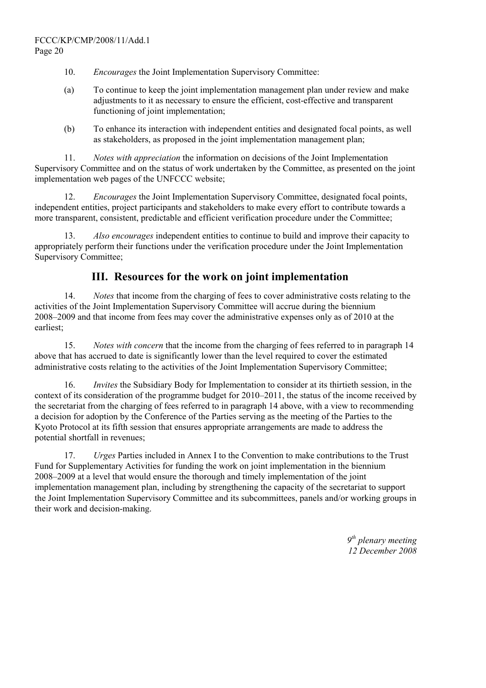- 10. *Encourages* the Joint Implementation Supervisory Committee:
- (a) To continue to keep the joint implementation management plan under review and make adjustments to it as necessary to ensure the efficient, cost-effective and transparent functioning of joint implementation;
- (b) To enhance its interaction with independent entities and designated focal points, as well as stakeholders, as proposed in the joint implementation management plan;

11. *Notes with appreciation* the information on decisions of the Joint Implementation Supervisory Committee and on the status of work undertaken by the Committee, as presented on the joint implementation web pages of the UNFCCC website;

12. *Encourages* the Joint Implementation Supervisory Committee, designated focal points, independent entities, project participants and stakeholders to make every effort to contribute towards a more transparent, consistent, predictable and efficient verification procedure under the Committee;

13. *Also encourages* independent entities to continue to build and improve their capacity to appropriately perform their functions under the verification procedure under the Joint Implementation Supervisory Committee;

#### **III. Resources for the work on joint implementation**

14. *Notes* that income from the charging of fees to cover administrative costs relating to the activities of the Joint Implementation Supervisory Committee will accrue during the biennium 2008–2009 and that income from fees may cover the administrative expenses only as of 2010 at the earliest;

15. *Notes with concern* that the income from the charging of fees referred to in paragraph 14 above that has accrued to date is significantly lower than the level required to cover the estimated administrative costs relating to the activities of the Joint Implementation Supervisory Committee;

16. *Invites* the Subsidiary Body for Implementation to consider at its thirtieth session, in the context of its consideration of the programme budget for 2010–2011, the status of the income received by the secretariat from the charging of fees referred to in paragraph 14 above, with a view to recommending a decision for adoption by the Conference of the Parties serving as the meeting of the Parties to the Kyoto Protocol at its fifth session that ensures appropriate arrangements are made to address the potential shortfall in revenues;

17. *Urges* Parties included in Annex I to the Convention to make contributions to the Trust Fund for Supplementary Activities for funding the work on joint implementation in the biennium 2008–2009 at a level that would ensure the thorough and timely implementation of the joint implementation management plan, including by strengthening the capacity of the secretariat to support the Joint Implementation Supervisory Committee and its subcommittees, panels and/or working groups in their work and decision-making.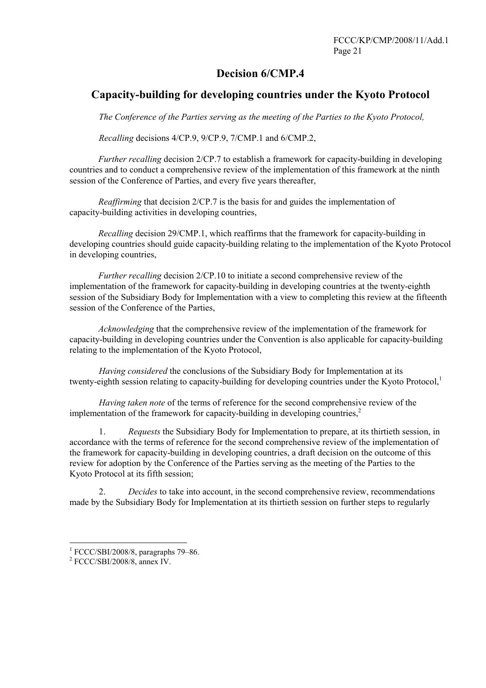### **Decision 6/CMP.4**

### **Capacity-building for developing countries under the Kyoto Protocol**

*The Conference of the Parties serving as the meeting of the Parties to the Kyoto Protocol,* 

 *Recalling* decisions 4/CP.9, 9/CP.9, 7/CMP.1 and 6/CMP.2,

*Further recalling* decision 2/CP.7 to establish a framework for capacity-building in developing countries and to conduct a comprehensive review of the implementation of this framework at the ninth session of the Conference of Parties, and every five years thereafter,

*Reaffirming* that decision 2/CP.7 is the basis for and guides the implementation of capacity-building activities in developing countries,

*Recalling* decision 29/CMP.1, which reaffirms that the framework for capacity-building in developing countries should guide capacity-building relating to the implementation of the Kyoto Protocol in developing countries,

*Further recalling* decision 2/CP.10 to initiate a second comprehensive review of the implementation of the framework for capacity-building in developing countries at the twenty-eighth session of the Subsidiary Body for Implementation with a view to completing this review at the fifteenth session of the Conference of the Parties,

*Acknowledging* that the comprehensive review of the implementation of the framework for capacity-building in developing countries under the Convention is also applicable for capacity-building relating to the implementation of the Kyoto Protocol,

*Having considered* the conclusions of the Subsidiary Body for Implementation at its twenty-eighth session relating to capacity-building for developing countries under the Kyoto Protocol,<sup>1</sup>

*Having taken note* of the terms of reference for the second comprehensive review of the implementation of the framework for capacity-building in developing countries, $<sup>2</sup>$ </sup>

1. *Requests* the Subsidiary Body for Implementation to prepare, at its thirtieth session, in accordance with the terms of reference for the second comprehensive review of the implementation of the framework for capacity-building in developing countries, a draft decision on the outcome of this review for adoption by the Conference of the Parties serving as the meeting of the Parties to the Kyoto Protocol at its fifth session;

2. *Decides* to take into account, in the second comprehensive review, recommendations made by the Subsidiary Body for Implementation at its thirtieth session on further steps to regularly

 $\overline{a}$ 

<sup>&</sup>lt;sup>1</sup> FCCC/SBI/2008/8, paragraphs 79–86.

FCCC/SBI/2008/8, annex IV.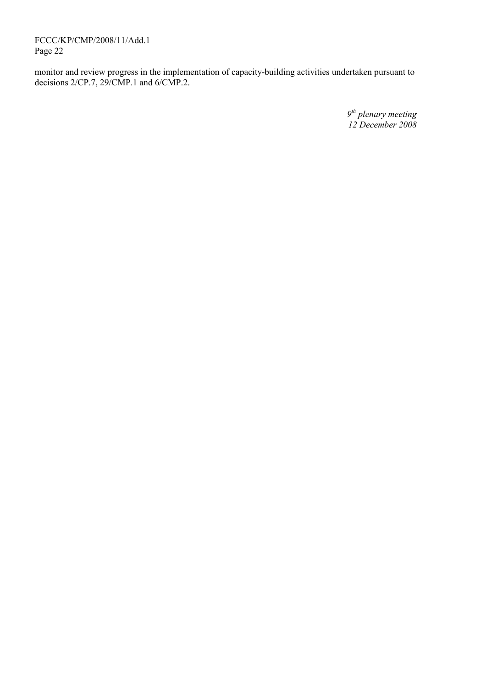FCCC/KP/CMP/2008/11/Add.1 Page 22

monitor and review progress in the implementation of capacity-building activities undertaken pursuant to decisions 2/CP.7, 29/CMP.1 and 6/CMP.2.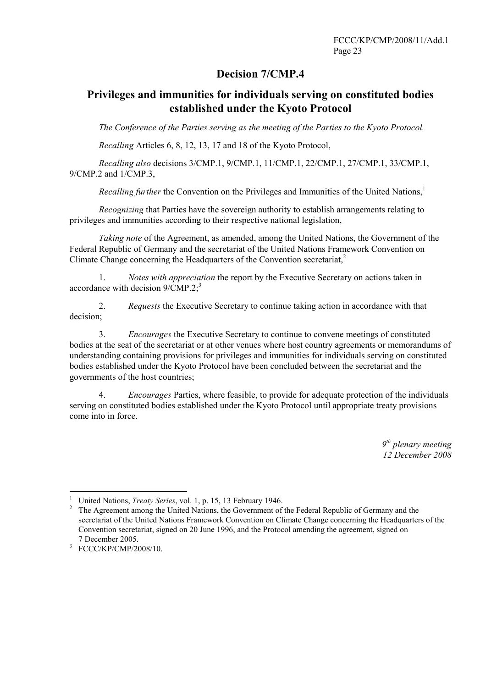### **Decision 7/CMP.4**

### **Privileges and immunities for individuals serving on constituted bodies established under the Kyoto Protocol**

*The Conference of the Parties serving as the meeting of the Parties to the Kyoto Protocol,* 

*Recalling* Articles 6, 8, 12, 13, 17 and 18 of the Kyoto Protocol,

*Recalling also* decisions 3/CMP.1, 9/CMP.1, 11/CMP.1, 22/CMP.1, 27/CMP.1, 33/CMP.1, 9/CMP.2 and 1/CMP.3,

*Recalling further* the Convention on the Privileges and Immunities of the United Nations,<sup>1</sup>

*Recognizing* that Parties have the sovereign authority to establish arrangements relating to privileges and immunities according to their respective national legislation,

*Taking note* of the Agreement, as amended, among the United Nations, the Government of the Federal Republic of Germany and the secretariat of the United Nations Framework Convention on Climate Change concerning the Headquarters of the Convention secretariat.<sup>2</sup>

1. *Notes with appreciation* the report by the Executive Secretary on actions taken in accordance with decision  $9/CMP.2$ ;<sup>3</sup>

2. *Requests* the Executive Secretary to continue taking action in accordance with that decision;

3. *Encourages* the Executive Secretary to continue to convene meetings of constituted bodies at the seat of the secretariat or at other venues where host country agreements or memorandums of understanding containing provisions for privileges and immunities for individuals serving on constituted bodies established under the Kyoto Protocol have been concluded between the secretariat and the governments of the host countries;

4. *Encourages* Parties, where feasible, to provide for adequate protection of the individuals serving on constituted bodies established under the Kyoto Protocol until appropriate treaty provisions come into in force.

 $\frac{1}{1}$ <sup>1</sup> United Nations, *Treaty Series*, vol. 1, p. 15, 13 February 1946.

The Agreement among the United Nations, the Government of the Federal Republic of Germany and the secretariat of the United Nations Framework Convention on Climate Change concerning the Headquarters of the Convention secretariat, signed on 20 June 1996, and the Protocol amending the agreement, signed on

<sup>7</sup> December 2005. 3 FCCC/KP/CMP/2008/10.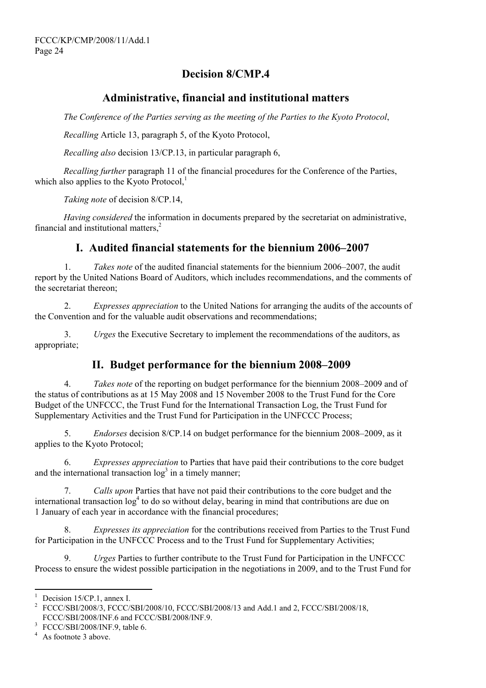# **Decision 8/CMP.4**

### **Administrative, financial and institutional matters**

*The Conference of the Parties serving as the meeting of the Parties to the Kyoto Protocol*,

*Recalling* Article 13, paragraph 5, of the Kyoto Protocol,

*Recalling also* decision 13/CP.13, in particular paragraph 6,

*Recalling further* paragraph 11 of the financial procedures for the Conference of the Parties, which also applies to the Kyoto Protocol, $<sup>1</sup>$ </sup>

*Taking note* of decision 8/CP.14,

*Having considered* the information in documents prepared by the secretariat on administrative, financial and institutional matters.<sup>2</sup>

### **I.** Audited financial statements for the biennium 2006–2007

1. *Takes note* of the audited financial statements for the biennium 2006–2007, the audit report by the United Nations Board of Auditors, which includes recommendations, and the comments of the secretariat thereon;

2. *Expresses appreciation* to the United Nations for arranging the audits of the accounts of the Convention and for the valuable audit observations and recommendations;

3. *Urges* the Executive Secretary to implement the recommendations of the auditors, as appropriate;

### **II. Budget performance for the biennium 2008–2009**

4. *Takes note* of the reporting on budget performance for the biennium 2008–2009 and of the status of contributions as at 15 May 2008 and 15 November 2008 to the Trust Fund for the Core Budget of the UNFCCC, the Trust Fund for the International Transaction Log, the Trust Fund for Supplementary Activities and the Trust Fund for Participation in the UNFCCC Process;

5. *Endorses* decision 8/CP.14 on budget performance for the biennium 2008–2009, as it applies to the Kyoto Protocol;

6. *Expresses appreciation* to Parties that have paid their contributions to the core budget and the international transaction  $log<sup>3</sup>$  in a timely manner;

7. *Calls upon* Parties that have not paid their contributions to the core budget and the international transaction  $\log^4$  to do so without delay, bearing in mind that contributions are due on 1 January of each year in accordance with the financial procedures;

8. *Expresses its appreciation* for the contributions received from Parties to the Trust Fund for Participation in the UNFCCC Process and to the Trust Fund for Supplementary Activities;

9. *Urges* Parties to further contribute to the Trust Fund for Participation in the UNFCCC Process to ensure the widest possible participation in the negotiations in 2009, and to the Trust Fund for

<sup>&</sup>lt;sup>1</sup> Decision 15/CP.1, annex I.

<sup>&</sup>lt;sup>2</sup> FCCC/SBI/2008/3, FCCC/SBI/2008/10, FCCC/SBI/2008/13 and Add.1 and 2, FCCC/SBI/2008/18, FCCC/SBI/2008/INF.6 and FCCC/SBI/2008/INF.9.

<sup>&</sup>lt;sup>3</sup> FCCC/SBI/2008/INF.9, table 6.

<sup>&</sup>lt;sup>4</sup> As footnote 3 above.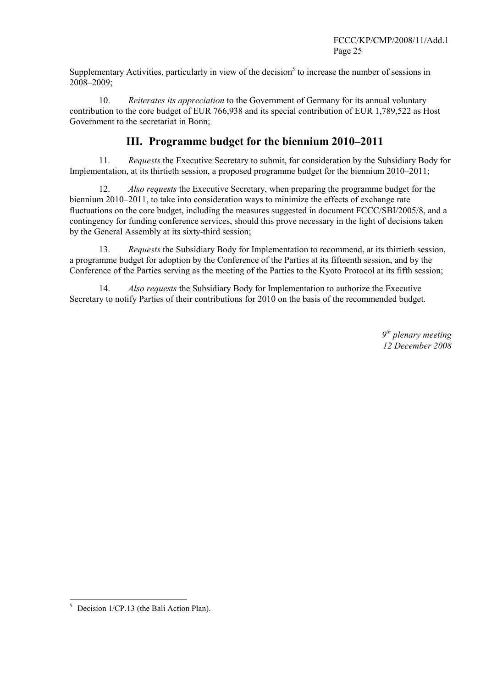Supplementary Activities, particularly in view of the decision<sup>5</sup> to increase the number of sessions in 2008–2009;

10. *Reiterates its appreciation* to the Government of Germany for its annual voluntary contribution to the core budget of EUR 766,938 and its special contribution of EUR 1,789,522 as Host Government to the secretariat in Bonn;

#### **III. Programme budget for the biennium 2010–2011**

11. *Requests* the Executive Secretary to submit, for consideration by the Subsidiary Body for Implementation, at its thirtieth session, a proposed programme budget for the biennium  $2010-2011$ ;

12. *Also requests* the Executive Secretary, when preparing the programme budget for the biennium  $2010-2011$ , to take into consideration ways to minimize the effects of exchange rate fluctuations on the core budget, including the measures suggested in document FCCC/SBI/2005/8, and a contingency for funding conference services, should this prove necessary in the light of decisions taken by the General Assembly at its sixty-third session;

13. *Requests* the Subsidiary Body for Implementation to recommend, at its thirtieth session, a programme budget for adoption by the Conference of the Parties at its fifteenth session, and by the Conference of the Parties serving as the meeting of the Parties to the Kyoto Protocol at its fifth session;

14. *Also requests* the Subsidiary Body for Implementation to authorize the Executive Secretary to notify Parties of their contributions for 2010 on the basis of the recommended budget.

 5 Decision 1/CP.13 (the Bali Action Plan).